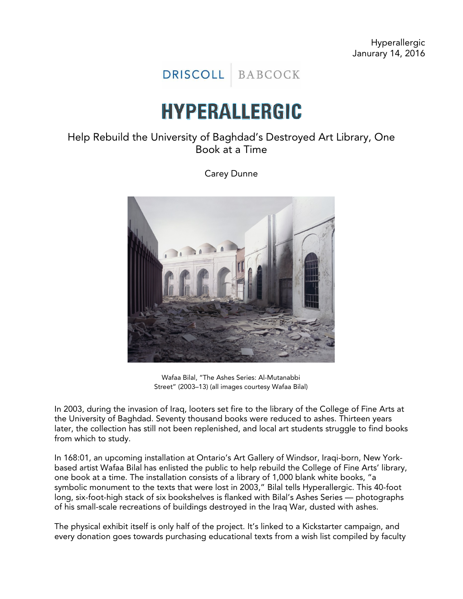DRISCOLL BABCOCK

## HYPERALLERGIC

## Help Rebuild the University of Baghdad's Destroyed Art Library, One Book at a Time

Carey Dunne



Wafaa Bilal, "The Ashes Series: Al-Mutanabbi Street" (2003–13) (all images courtesy Wafaa Bilal)

In 2003, during the invasion of Iraq, looters set fire to the library of the College of Fine Arts at the University of Baghdad. Seventy thousand books were reduced to ashes. Thirteen years later, the collection has still not been replenished, and local art students struggle to find books from which to study.

In 168:01, an upcoming installation at Ontario's Art Gallery of Windsor, Iraqi-born, New Yorkbased artist Wafaa Bilal has enlisted the public to help rebuild the College of Fine Arts' library, one book at a time. The installation consists of a library of 1,000 blank white books, "a symbolic monument to the texts that were lost in 2003," Bilal tells Hyperallergic. This 40-foot long, six-foot-high stack of six bookshelves is flanked with Bilal's Ashes Series — photographs of his small-scale recreations of buildings destroyed in the Iraq War, dusted with ashes.

The physical exhibit itself is only half of the project. It's linked to a Kickstarter campaign, and every donation goes towards purchasing educational texts from a wish list compiled by faculty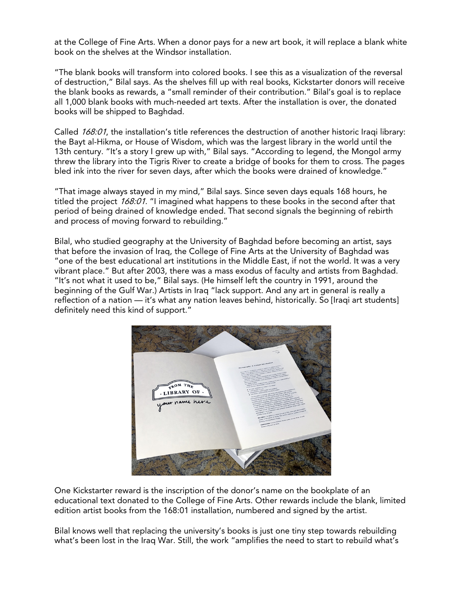at the College of Fine Arts. When a donor pays for a new art book, it will replace a blank white book on the shelves at the Windsor installation.

"The blank books will transform into colored books. I see this as a visualization of the reversal of destruction," Bilal says. As the shelves fill up with real books, Kickstarter donors will receive the blank books as rewards, a "small reminder of their contribution." Bilal's goal is to replace all 1,000 blank books with much-needed art texts. After the installation is over, the donated books will be shipped to Baghdad.

Called 168:01, the installation's title references the destruction of another historic Iraqi library: the Bayt al-Hikma, or House of Wisdom, which was the largest library in the world until the 13th century. "It's a story I grew up with," Bilal says. "According to legend, the Mongol army threw the library into the Tigris River to create a bridge of books for them to cross. The pages bled ink into the river for seven days, after which the books were drained of knowledge."

"That image always stayed in my mind," Bilal says. Since seven days equals 168 hours, he titled the project 168:01. "I imagined what happens to these books in the second after that period of being drained of knowledge ended. That second signals the beginning of rebirth and process of moving forward to rebuilding."

Bilal, who studied geography at the University of Baghdad before becoming an artist, says that before the invasion of Iraq, the College of Fine Arts at the University of Baghdad was "one of the best educational art institutions in the Middle East, if not the world. It was a very vibrant place." But after 2003, there was a mass exodus of faculty and artists from Baghdad. "It's not what it used to be," Bilal says. (He himself left the country in 1991, around the beginning of the Gulf War.) Artists in Iraq "lack support. And any art in general is really a reflection of a nation — it's what any nation leaves behind, historically. So [Iraqi art students] definitely need this kind of support."



One Kickstarter reward is the inscription of the donor's name on the bookplate of an educational text donated to the College of Fine Arts. Other rewards include the blank, limited edition artist books from the 168:01 installation, numbered and signed by the artist.

Bilal knows well that replacing the university's books is just one tiny step towards rebuilding what's been lost in the Iraq War. Still, the work "amplifies the need to start to rebuild what's